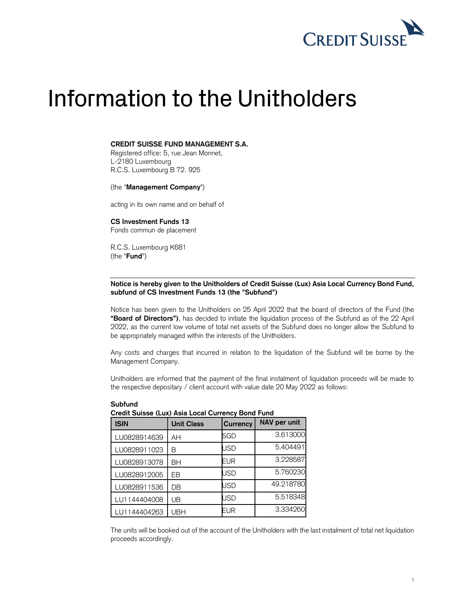

# Information to the Unitholders

### CREDIT SUISSE FUND MANAGEMENT S.A.

 Registered office: 5, rue Jean Monnet, R.C.S. Luxembourg B 72. 925 L-2180 Luxembourg

(the "Management Company")

acting in its own name and on behalf of

 CS Investment Funds 13 Fonds commun de placement

 R.C.S. Luxembourg K681 (the "Fund")

## Notice is hereby given to the Unitholders of Credit Suisse (Lux) Asia Local Currency Bond Fund, subfund of CS Investment Funds 13 (the "Subfund")

 Notice has been given to the Unitholders on 25 April 2022 that the board of directors of the Fund (the "Board of Directors"), has decided to initiate the liquidation process of the Subfund as of the 22 April 2022, as the current low volume of total net assets of the Subfund does no longer allow the Subfund to be appropriately managed within the interests of the Unitholders.

 Any costs and charges that incurred in relation to the liquidation of the Subfund will be borne by the Management Company.

 Unitholders are informed that the payment of the final instalment of liquidation proceeds will be made to the respective depositary / client account with value date 20 May 2022 as follows:

| Credit Suisse (Lux) Asia Local Currency Bond Fund |                   |                 |              |
|---------------------------------------------------|-------------------|-----------------|--------------|
| <b>ISIN</b>                                       | <b>Unit Class</b> | <b>Currency</b> | NAV per unit |
| LU0828914639                                      | AΗ                | SGD             | 3.613000     |
| LU0828911023                                      | R                 | USD             | 5.404491     |
| LU0828913078                                      | BH                | EUR             | 3.228587     |
| LU0828912005                                      | EB                | USD             | 5.760230     |
| LU0828911536                                      | DB                | USD             | 49.218780    |
| LU1144404008                                      | UB                | USD             | 5.518348     |
| LU1144404263                                      | UBH               | EUR             | 3.334260     |

#### Subfund

#### $-$  and  $\sim$ Credit Suisse (Lux) Asia Local Currency Bond Fund

 The units will be booked out of the account of the Unitholders with the last instalment of total net liquidation proceeds accordingly.